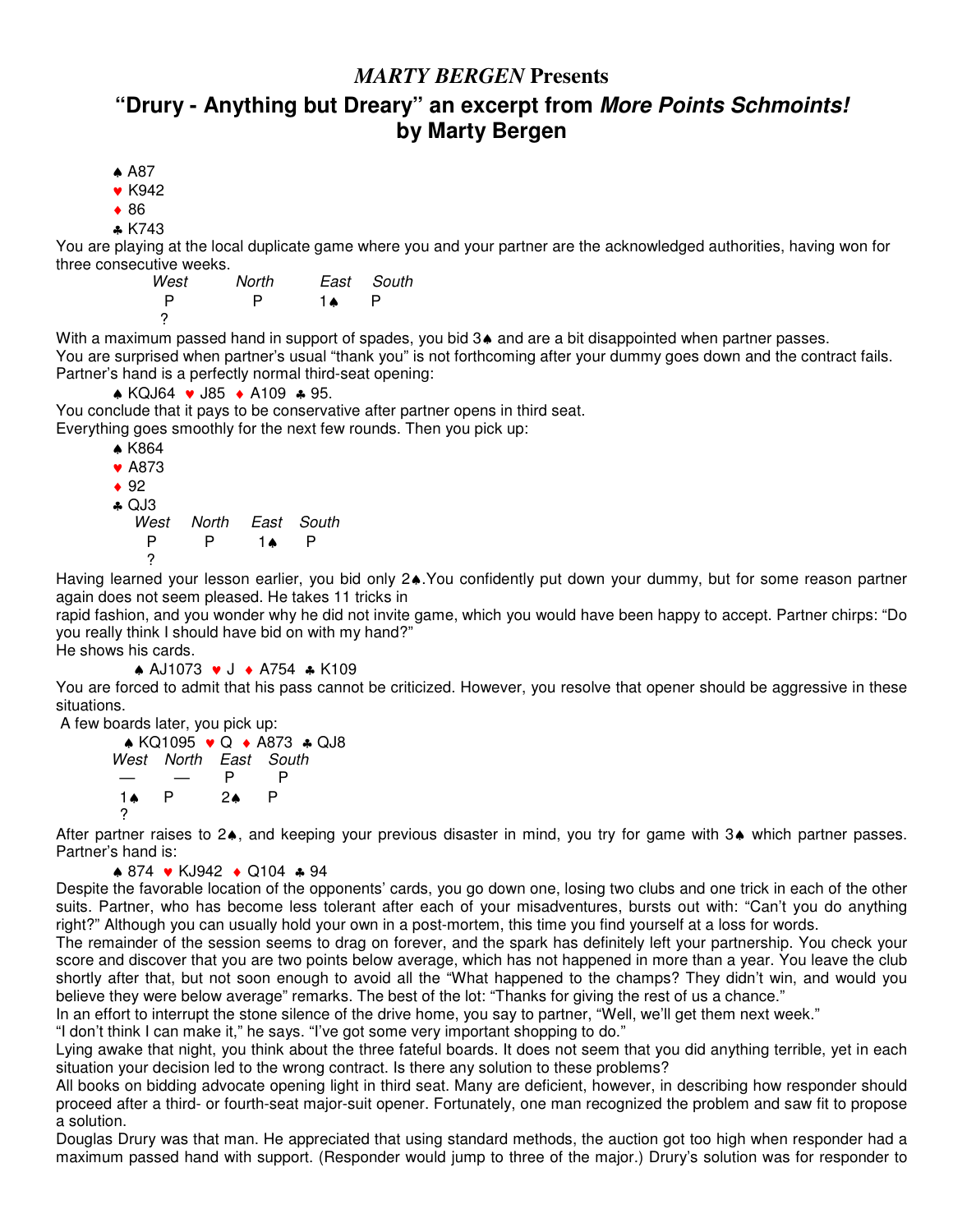## *MARTY BERGEN* **Presents**

## **"Drury - Anything but Dreary" an excerpt from** *More Points Schmoints!* **by Marty Bergen**

- ♠ A87
- ♥ K942
- ♦ 86
- ♣ K743

You are playing at the local duplicate game where you and your partner are the acknowledged authorities, having won for three consecutive weeks.

| West | North |    | East South |
|------|-------|----|------------|
| P    | P     | 1▲ |            |
|      |       |    |            |

With a maximum passed hand in support of spades, you bid 3♦ and are a bit disappointed when partner passes. You are surprised when partner's usual "thank you" is not forthcoming after your dummy goes down and the contract fails. Partner's hand is a perfectly normal third-seat opening:

♠ KQJ64 ♥ J85 ♦ A109 ♣ 95.

You conclude that it pays to be conservative after partner opens in third seat. Everything goes smoothly for the next few rounds. Then you pick up:

| $*$ K864        |                       |    |   |
|-----------------|-----------------------|----|---|
| $\bullet$ A873  |                       |    |   |
| $\bullet$ 92    |                       |    |   |
| $\triangle$ QJ3 |                       |    |   |
|                 | West North East South |    |   |
| P               | P                     | 1▲ | Р |
| 2               |                       |    |   |

Having learned your lesson earlier, you bid only 2♠.You confidently put down your dummy, but for some reason partner again does not seem pleased. He takes 11 tricks in

rapid fashion, and you wonder why he did not invite game, which you would have been happy to accept. Partner chirps: "Do you really think I should have bid on with my hand?"

He shows his cards.

♠ AJ1073 ♥ J ♦ A754 ♣ K109

You are forced to admit that his pass cannot be criticized. However, you resolve that opener should be aggressive in these situations.

A few boards later, you pick up:

♠ KQ1095 ♥ Q ♦ A873 ♣ QJ8 *West North East South* — — P P 1♠ P 2♠ P ?

After partner raises to 2♠, and keeping your previous disaster in mind, you try for game with 3♠ which partner passes. Partner's hand is:

```
♠ 874 ♥ KJ942 ♦ Q104 ♣ 94
```
Despite the favorable location of the opponents' cards, you go down one, losing two clubs and one trick in each of the other suits. Partner, who has become less tolerant after each of your misadventures, bursts out with: "Can't you do anything right?" Although you can usually hold your own in a post-mortem, this time you find yourself at a loss for words.

The remainder of the session seems to drag on forever, and the spark has definitely left your partnership. You check your score and discover that you are two points below average, which has not happened in more than a year. You leave the club shortly after that, but not soon enough to avoid all the "What happened to the champs? They didn't win, and would you believe they were below average" remarks. The best of the lot: "Thanks for giving the rest of us a chance."

In an effort to interrupt the stone silence of the drive home, you say to partner, "Well, we'll get them next week."

"I don't think I can make it," he says. "I've got some very important shopping to do."

Lying awake that night, you think about the three fateful boards. It does not seem that you did anything terrible, yet in each situation your decision led to the wrong contract. Is there any solution to these problems?

All books on bidding advocate opening light in third seat. Many are deficient, however, in describing how responder should proceed after a third- or fourth-seat major-suit opener. Fortunately, one man recognized the problem and saw fit to propose a solution.

Douglas Drury was that man. He appreciated that using standard methods, the auction got too high when responder had a maximum passed hand with support. (Responder would jump to three of the major.) Drury's solution was for responder to